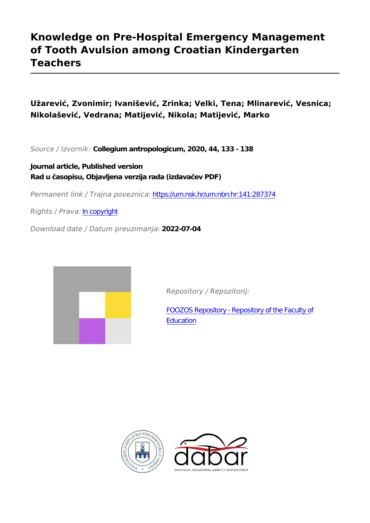# **Knowledge on Pre-Hospital Emergency Management of Tooth Avulsion among Croatian Kindergarten Teachers**

**Užarević, Zvonimir; Ivanišević, Zrinka; Velki, Tena; Mlinarević, Vesnica; Nikolašević, Vedrana; Matijević, Nikola; Matijević, Marko**

*Source / Izvornik:* **Collegium antropologicum, 2020, 44, 133 - 138**

**Journal article, Published version Rad u časopisu, Objavljena verzija rada (izdavačev PDF)**

*Permanent link / Trajna poveznica:* <https://urn.nsk.hr/urn:nbn:hr:141:287374>

*Rights / Prava:* [In copyright](http://rightsstatements.org/vocab/InC/1.0/)

*Download date / Datum preuzimanja:* **2022-07-04**



*Repository / Repozitorij:*

[FOOZOS Repository - Repository of the Faculty o](https://repozitorij.foozos.hr)f **[Education](https://repozitorij.foozos.hr)** 



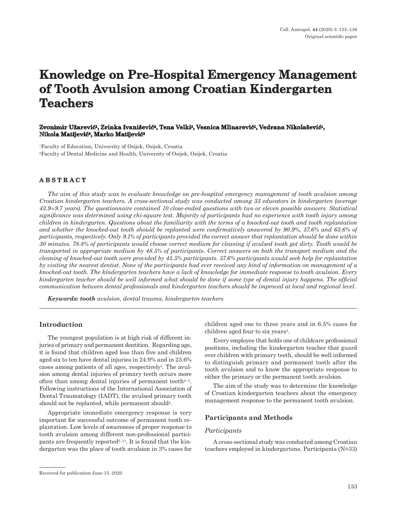# **Knowledge on Pre-Hospital Emergency Management of Tooth Avulsion among Croatian Kindergarten Teachers**

## **Zvonimir Užarević1, Zrinka Ivanišević2, Tena Velki1, Vesnica Mlinarević1, Vedrana Nikolašević1, Nikola Matijević2, Marko Matijević<sup>2</sup>**

1Faculty of Education, University of Osijek, Osijek, Croatia 2Faculty of Dental Medicine and Health, University of Osijek, Osijek, Croatia

# **ABSTRACT**

*The aim of this study was to evaluate knowledge on pre-hospital emergency management of tooth avulsion among Croatian kindergarten teachers. A cross-sectional study was conducted among 33 educators in kindergarten (average 43.9±9.7 years). The questionnaire contained 10 close-ended questions with two or eleven possible answers. Statistical significance was determined using chi-square test. Majority of participants had no experience with tooth injury among children in kindergarten. Questions about the familiarity with the terms of a knocked-out tooth and tooth replantation and whether the knocked-out tooth should be replanted were confirmatively answered by 90.9%, 57.6% and 63.6% of participants, respectively. Only 9.1% of participants provided the correct answer that replantation should be done within 30 minutes. 78.8% of participants would choose correct medium for cleaning if avulsed tooth got dirty. Tooth would be transported in appropriate medium by 48.5% of participants. Correct answers on both the transport medium and the cleaning of knocked-out tooth were provided by 45.5% participants. 57.6% participants would seek help for replantation by visiting the nearest dentist. None of the participants had ever received any kind of information on management of a knocked-out tooth. The kindergarten teachers have a lack of knowledge for immediate response to tooth avulsion. Every kindergarten teacher should be well informed what should be done if some type of dental injury happens. The official communication between dental professionals and kindergarten teachers should be improved at local and regional level.*

*Keywords: tooth avulsion, dental trauma, kindergarten teachers*

## **Introduction**

The youngest population is at high risk of different injuries of primary and permanent dentition. Regarding age, it is found that children aged less than five and children aged six to ten have dental injuries in 24.9% and in 23.6% cases among patients of all ages, respectively<sup>1</sup>. The avulsion among dental injuries of primary teeth occurs more often than among dental injuries of permanent teeth $2-3$ . Following instructions of the International Association of Dental Traumatology (IADT), the avulsed primary tooth should not be replanted, while permanent should4.

Appropriate immediate emergency response is very important for successful outcome of permanent tooth replantation. Low levels of awareness of proper response to tooth avulsion among different non-professional participants are frequently reported $5-11$ . It is found that the kindergarten was the place of tooth avulsion in 3% cases for children aged one to three years and in 6.5% cases for children aged four to six years<sup>3</sup>.

Every employee that holds one of childcare professional positions, including the kindergarten teacher that guard over children with primary teeth, should be well informed to distinguish primary and permanent tooth after the tooth avulsion and to know the appropriate response to either the primary or the permanent tooth avulsion.

The aim of the study was to determine the knowledge of Croatian kindergarten teachers about the emergency management response to the permanent tooth avulsion.

#### **Participants and Methods**

## *Participants*

A cross-sectional study was conducted among Croatian teachers employed in kindergartens. Participants (N=33)

Received for publication June 15, 2020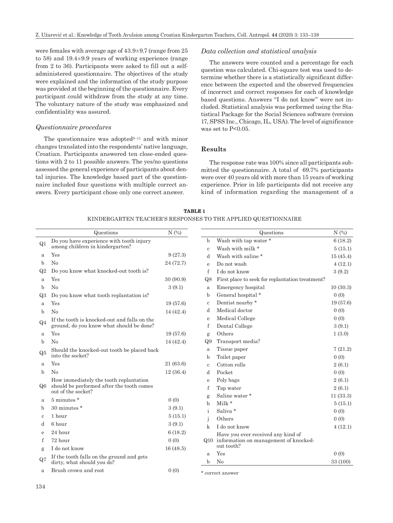were females with average age of 43.9±9.7 (range from 25 to 58) and 19.4±9.9 years of working experience (range from 2 to 36). Participants were asked to fill out a selfadministered questionnaire. The objectives of the study were explained and the information of the study purpose was provided at the beginning of the questionnaire. Every participant could withdraw from the study at any time. The voluntary nature of the study was emphasized and confidentiality was assured.

#### *Questionnaire procedures*

The questionnaire was adopted $9-11$  and with minor changes translated into the respondents' native language, Croatian. Participants answered ten close-ended questions with 2 to 11 possible answers. The yes/no questions assessed the general experience of participants about dental injuries. The knowledge based part of the questionnaire included four questions with multiple correct answers. Every participant chose only one correct answer.

## *Data collection and statistical analysis*

The answers were counted and a percentage for each question was calculated. Chi-square test was used to determine whether there is a statistically significant difference between the expected and the observed frequencies of incorrect and correct responses for each of knowledge based questions. Answers "I do not know" were not included. Statistical analysis was performed using the Statistical Package for the Social Sciences software (version 17, SPSS Inc., Chicago, IL, USA). The level of significance was set to  $P<0.05$ .

#### **Results**

The response rate was 100% since all participants submitted the questionnaire. A total of 69.7% participants were over 40 years old with more than 15 years of working experience. Prior in life participants did not receive any kind of information regarding the management of a

|                | Questions                                                                           | N(%)      |              | Questions                                       | N(%)             |
|----------------|-------------------------------------------------------------------------------------|-----------|--------------|-------------------------------------------------|------------------|
| Q1             | Do you have experience with tooth injury<br>among children in kindergarten?         |           | $\mathbf b$  | Wash with tap water *                           | 6(18.2)          |
|                |                                                                                     |           | $\mathbf{c}$ | Wash with milk *                                | 5(15.1)          |
| a              | Yes                                                                                 | 9(27.3)   | d            | Wash with saline *                              | 15(45.4)         |
| b              | No                                                                                  | 24 (72.7) | e            | Do not wash                                     | 4(12.1)          |
| Q2             | Do you know what knocked-out tooth is?                                              |           | f            | I do not know                                   | 3(9.2)           |
| a              | Yes                                                                                 | 30 (90.9) | Q8           | First place to seek for replantation treatment? |                  |
| $\mathbf b$    | No                                                                                  | 3(9.1)    | a            | Emergency hospital                              | 10(30.3)         |
| Q3             | Do you know what tooth replantation is?                                             |           | b            | General hospital *                              | 0(0)             |
| a              | Yes                                                                                 | 19(57.6)  | $\mathbf c$  | Dentist nearby *                                | 19 (57.6)        |
| $\mathbf b$    | No                                                                                  | 14(42.4)  | d            | Medical doctor                                  | 0(0)             |
| Q <sub>4</sub> | If the tooth is knocked-out and falls on the                                        |           | e            | Medical College                                 | 0(0)             |
|                | ground, do you know what should be done?                                            |           | f            | Dental College                                  | 3(9.1)           |
| a              | Yes                                                                                 | 19(57.6)  | g            | Others                                          | 1(3.0)           |
| $\mathbf b$    | N <sub>0</sub>                                                                      | 14(42.4)  | Q9           | Transport media?                                |                  |
| Q5             | Should the knocked-out tooth be placed back<br>into the socket?                     |           | a            | Tissue paper                                    | 7(21.2)          |
|                | Yes                                                                                 |           | b            | Toilet paper                                    | 0(0)             |
| a              |                                                                                     | 21 (63.6) | $\mathbf{c}$ | Cotton rolls                                    | 2(6.1)           |
| $\mathbf b$    | No                                                                                  | 12(36.4)  | d            | Pocket                                          | 0(0)             |
| Q6             | How immediately the tooth replantation<br>should be performed after the tooth comes |           | e<br>f       | Poly bags<br>Tap water                          | 2(6.1)<br>2(6.1) |
|                | out of the socket?                                                                  |           | g            | Saline water*                                   | 11(33.3)         |
| a              | 5 minutes *                                                                         | 0(0)      | h            | Milk *                                          | 5(15.1)          |
| b              | 30 minutes *                                                                        | 3(9.1)    | i            | Saliva *                                        | 0(0)             |
| $\mathbf{c}$   | 1 hour                                                                              | 5(15.1)   | j            | Others                                          | 0(0)             |
| d              | 6 hour                                                                              | 3(9.1)    | $\mathbf k$  | I do not know                                   | 4(12.1)          |
| e              | 24 hour                                                                             | 6(18.2)   |              | Have you ever received any kind of              |                  |
| f              | 72 hour                                                                             | 0(0)      |              | Q10 information on management of knocked-       |                  |
| g              | I do not know                                                                       | 16(48.5)  |              | out tooth?                                      |                  |
|                | If the tooth falls on the ground and gets                                           |           | a            | Yes                                             | 0(0)             |
| Q7             | dirty, what should you do?                                                          |           | b            | No                                              | 33 (100)         |
| a              | Brush crown and root                                                                | 0(0)      |              | $*$ compatible $*$                              |                  |

| <b>TABLE 1</b>                                                |  |
|---------------------------------------------------------------|--|
| KINDERGARTEN TEACHER'S RESPONSES TO THE APPLIED QUESTIONNAIRE |  |

\* correct answer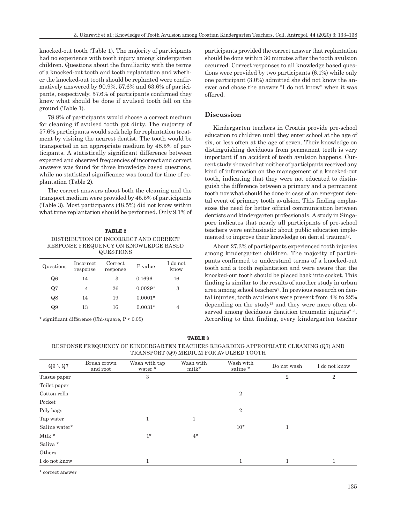knocked-out tooth (Table 1). The majority of participants had no experience with tooth injury among kindergarten children. Questions about the familiarity with the terms of a knocked-out tooth and tooth replantation and whether the knocked-out tooth should be replanted were confirmatively answered by 90.9%, 57.6% and 63.6% of participants, respectively. 57.6% of participants confirmed they knew what should be done if avulsed tooth fell on the ground (Table 1).

78.8% of participants would choose a correct medium for cleaning if avulsed tooth got dirty. The majority of 57.6% participants would seek help for replantation treatment by visiting the nearest dentist. The tooth would be transported in an appropriate medium by 48.5% of participants. A statistically significant difference between expected and observed frequencies of incorrect and correct answers was found for three knowledge based questions, while no statistical significance was found for time of replantation (Table 2).

The correct answers about both the cleaning and the transport medium were provided by 45.5% of participants (Table 3). Most participants (48.5%) did not know within what time replantation should be performed. Only 9.1% of

## **TABLE 2** DISTRIBUTION OF INCORRECT AND CORRECT RESPONSE FREQUENCY ON KNOWLEDGE BASED QUESTIONS

| Questions | <i>Incorrect</i><br>response | Correct<br>response | P-value   | I do not<br>know |
|-----------|------------------------------|---------------------|-----------|------------------|
| Q6        | 14                           | З                   | 0.1696    | 16               |
| Q7        |                              | 26                  | $0.0029*$ | 3                |
| Q8        | 14                           | 19                  | $0.0001*$ |                  |
| Q9        | 13                           | 16                  | $0.0031*$ |                  |

\* significant difference (Chi-square, P < 0.05)

participants provided the correct answer that replantation should be done within 30 minutes after the tooth avulsion occurred. Correct responses to all knowledge based questions were provided by two participants (6.1%) while only one participant (3.0%) admitted she did not know the answer and chose the answer "I do not know" when it was offered.

## **Discussion**

Kindergarten teachers in Croatia provide pre-school education to children until they enter school at the age of six, or less often at the age of seven. Their knowledge on distinguishing deciduous from permanent teeth is very important if an accident of tooth avulsion happens. Current study showed that neither of participants received any kind of information on the management of a knocked-out tooth, indicating that they were not educated to distinguish the difference between a primary and a permanent tooth nor what should be done in case of an emergent dental event of primary tooth avulsion. This finding emphasizes the need for better official communication between dentists and kindergarten professionals. A study in Singapore indicates that nearly all participants of pre-school teachers were enthusiastic about public education implemented to improve their knowledge on dental trauma<sup>12</sup>.

About 27.3% of participants experienced tooth injuries among kindergarten children. The majority of participants confirmed to understand terms of a knocked-out tooth and a tooth replantation and were aware that the knocked-out tooth should be placed back into socket. This finding is similar to the results of another study in urban area among school teachers9. In previous research on dental injuries, tooth avulsions were present from 4% to 22% depending on the study13 and they were more often observed among deciduous dentition traumatic injuries $2-3$ . According to that finding, every kindergarten teacher

| <b>TABLE 3</b>                                                                      |
|-------------------------------------------------------------------------------------|
| RESPONSE FREQUENCY OF KINDERGARTEN TEACHERS REGARDING APPROPRIATE CLEANING (Q7) AND |
| TRANSPORT (Q9) MEDIUM FOR AVULSED TOOTH                                             |

| $Q9 \setminus Q7$ | Brush crown<br>and root | Wash with tap<br>water * | Wash with<br>milk* | Wash with<br>saline * | Do not wash    | I do not know |
|-------------------|-------------------------|--------------------------|--------------------|-----------------------|----------------|---------------|
| Tissue paper      |                         | 3                        |                    |                       | $\overline{2}$ | 2             |
| Toilet paper      |                         |                          |                    |                       |                |               |
| Cotton rolls      |                         |                          |                    | $\overline{2}$        |                |               |
| Pocket            |                         |                          |                    |                       |                |               |
| Poly bags         |                         |                          |                    | $\,2$                 |                |               |
| Tap water         |                         | $\mathbf{1}$             | $\mathbf{1}$       |                       |                |               |
| Saline water*     |                         |                          |                    | $10*$                 | 1              |               |
| Milk *            |                         | $1*$                     | $4*$               |                       |                |               |
| Saliva *          |                         |                          |                    |                       |                |               |
| Others            |                         |                          |                    |                       |                |               |
| I do not know     |                         | $\mathbf{1}$             |                    | $\mathbf{1}$          | 1              | 1             |

\* correct answer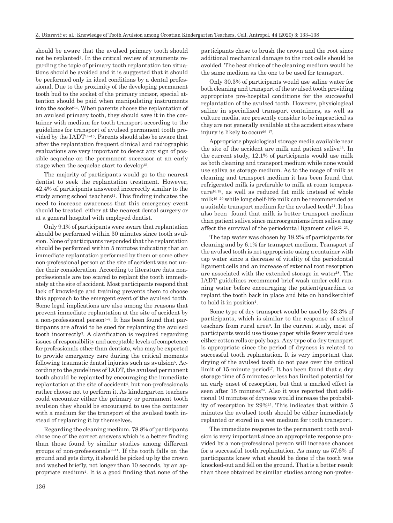should be aware that the avulsed primary tooth should not be replanted4. In the critical review of arguments regarding the topic of primary tooth replantation ten situations should be avoided and it is suggested that it should be performed only in ideal conditions by a dental professional. Due to the proximity of the developing permanent tooth bud to the socket of the primary incisor, special attention should be paid when manipulating instruments into the socket<sup>14</sup>. When parents choose the replantation of an avulsed primary tooth, they should save it in the container with medium for tooth transport according to the guidelines for transport of avulsed permanent tooth provided by the IADT14–15. Parents should also be aware that after the replantation frequent clinical and radiographic evaluations are very important to detect any sign of possible sequelae on the permanent successor at an early stage when the sequelae start to develop<sup>15</sup>.

The majority of participants would go to the nearest dentist to seek the replantation treatment. However, 42.4% of participants answered incorrectly similar to the study among school teachers<sup>11</sup>. This finding indicates the need to increase awareness that this emergency event should be treated either at the nearest dental surgery or at a general hospital with employed dentist.

Only 9.1% of participants were aware that replantation should be performed within 30 minutes since tooth avulsion. None of participants responded that the replantation should be performed within 5 minutes indicating that an immediate replantation performed by them or some other non-professional person at the site of accident was not under their consideration. According to literature data nonprofessionals are too scared to replant the tooth immediately at the site of accident. Most participants respond that lack of knowledge and training prevents them to choose this approach to the emergent event of the avulsed tooth. Some legal implications are also among the reasons that prevent immediate replantation at the site of accident by a non-professional person<sup>5-7</sup>. It has been found that participants are afraid to be sued for replanting the avulsed tooth incorrectly7. A clarification is required regarding issues of responsibility and acceptable levels of competence for professionals other than dentists, who may be expected to provide emergency care during the critical moments following traumatic dental injuries such as avulsion<sup>5</sup>. According to the guidelines of IADT, the avulsed permanent tooth should be replanted by encouraging the immediate replantation at the site of accident<sup>4</sup>, but non-professionals rather choose not to perform it. As kindergarten teachers could encounter either the primary or permanent tooth avulsion they should be encouraged to use the container with a medium for the transport of the avulsed tooth instead of replanting it by themselves.

Regarding the cleaning medium, 78.8% of participants chose one of the correct answers which is a better finding than those found by similar studies among different groups of non-professionals $9-11$ . If the tooth falls on the ground and gets dirty, it should be picked up by the crown and washed briefly, not longer than 10 seconds, by an appropriate medium4. It is a good finding that none of the participants chose to brush the crown and the root since additional mechanical damage to the root cells should be avoided. The best choice of the cleaning medium would be the same medium as the one to be used for transport.

Only 30.3% of participants would use saline water for both cleaning and transport of the avulsed tooth providing appropriate pre-hospital conditions for the successful replantation of the avulsed tooth. However, physiological saline in specialized transport containers, as well as culture media, are presently consider to be impractical as they are not generally available at the accident sites where injury is likely to occur<sup>16–17</sup>.

Appropriate physiological storage media available near the site of the accident are milk and patient saliva16. In the current study, 12.1% of participants would use milk as both cleaning and transport medium while none would use saliva as storage medium. As to the usage of milk as cleaning and transport medium it has been found that refrigerated milk is preferable to milk at room temperature16,18, as well as reduced fat milk instead of whole milk19–20 while long shelf-life milk can be recommended as a suitable transport medium for the avulsed teeth $21$ . It has also been found that milk is better transport medium than patient saliva since microorganisms from saliva may affect the survival of the periodontal ligament cells<sup>22–23</sup>.

The tap water was chosen by 18.2% of participants for cleaning and by 6.1% for transport medium. Transport of the avulsed tooth is not appropriate using a container with tap water since a decrease of vitality of the periodontal ligament cells and an increase of external root resorption are associated with the extended storage in water18. The IADT guidelines recommend brief wash under cold running water before encouraging the patient/guardian to replant the tooth back in place and bite on handkerchief to hold it in position<sup>4</sup>.

Some type of dry transport would be used by 33.3% of participants, which is similar to the response of school teachers from rural area9. In the current study, most of participants would use tissue paper while fewer would use either cotton rolls or poly bags. Any type of a dry transport is appropriate since the period of dryness is related to successful tooth replantation. It is very important that drying of the avulsed tooth do not pass over the critical limit of 15-minute period<sup>17</sup>. It has been found that a dry storage time of 5 minutes or less has limited potential for an early onset of resorption, but that a marked effect is seen after 15 minutes<sup>24</sup>. Also it was reported that additional 10 minutes of dryness would increase the probability of resorption by 29%25. This indicates that within 5 minutes the avulsed tooth should be either immediately replanted or stored in a wet medium for tooth transport.

The immediate response to the permanent tooth avulsion is very important since an appropriate response provided by a non-professional person will increase chances for a successful tooth replantation. As many as 57.6% of participants knew what should be done if the tooth was knocked-out and fell on the ground. That is a better result than those obtained by similar studies among non-profes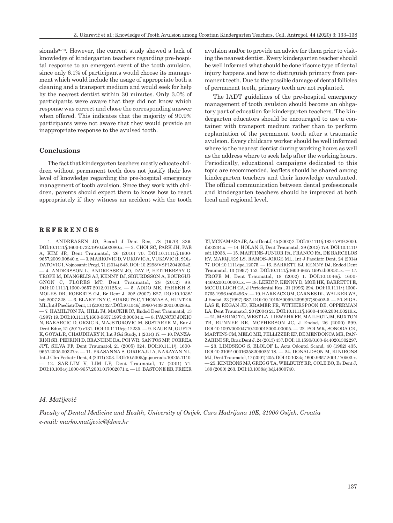sionals<sup>9-10</sup>. However, the current study showed a lack of knowledge of kindergarten teachers regarding pre-hospital response to an emergent event of the tooth avulsion, since only 6.1% of participants would choose its management which would include the usage of appropriate both a cleaning and a transport medium and would seek for help by the nearest dentist within 30 minutes. Only 3.0% of participants were aware that they did not know which response was correct and chose the corresponding answer when offered. This indicates that the majority of 90.9% participants were not aware that they would provide an inappropriate response to the avulsed tooth.

#### **Conclusions**

The fact that kindergarten teachers mostly educate children without permanent teeth does not justify their low level of knowledge regarding the pre-hospital emergency management of tooth avulsion. Since they work with children, parents should expect them to know how to react appropriately if they witness an accident with the tooth

## **REFERENCES**

1. ANDREASEN JO, Scand J Dent Res, 78 (1970) 329. DOI:10.1111/j.1600-0722.1970.tb02080.x. — 2. CHOI SC, PARK JH, PAE A, KIM JR, Dent Traumatol, 26 (2010) 70. DOI:10.1111/j.1600- 9657.2009.00840.x. — 3. MARKOVIC D, VUKOVIC A, VUKOVIC R, SOL-DATOVIC I, Vojnosanit Pregl, 71 (2014) 845. DOI: 10.2298/VSP130420042. — 4. ANDERSSON L, ANDREASEN JO, DAY P, HEITHERSAY G, TROPE M, DIANGELIS AJ, KENNY DJ, SIGURDSSON A, BOURGUI-GNON C, FLORES MT, Dent Traumatol, 28 (2012) 88. DOI:10.1111/j.1600-9657.2012.01125.x. — 5. ADDO ME, PAREKH S, MOLES DR, ROBERTS GJ, Br Dent J, 202 (2007) E27. DOI:10.1038/ bdj.2007.328. — 6. BLAKYTNY C, SURBUTS C, THOMAS A, HUNTER ML, Int J Paediatr Dent, 11 (2001) 327. DOI:10.1046/j.0960-7439.2001.00288.x. — 7. HAMILTON FA, HILL FJ, MACKIE IC, Endod Dent Traumatol, 13 (1997) 19. DOI:10.1111/j.1600-9657.1997.tb00004.x. — 8. IVANCIC JOKIC N, BAKARCIC D, GRZIC R, MAJSTOROVIC M, SOSTAREK M, Eur J Dent Educ, 21 (2017) e131. DOI:10.1111/eje.12235. — 9. KAUR M, GUPTA K, GOYAL R, CHAUDHARY N, Int J Sci Study, 1 (2014) 17. — 10. PANZA-RINI SR, PEDRINI D, BRANDINI DA, POI WR, SANTOS MF, CORREA JPT, SILVA FF, Dent Traumatol, 21 (2005) 324. DOI:10.1111/j. 1600- 9657.2005.00327.x. — 11. PRASANNA S, GIRIRAJU A, NARAYAN NL, Int J Clin Pediatr Dent, 4 (2011) 203. DOI:10.5005/jp-journals-10005-1110. — 12. SAE-LIM V, LIM LP, Dent Traumatol, 17 (2001) 71. DOI:10.1034/j.1600-9657.2001.017002071.x. — 13. BASTONE EB, FREER avulsion and/or to provide an advice for them prior to visiting the nearest dentist. Every kindergarten teacher should be well informed what should be done if some type of dental injury happens and how to distinguish primary from permanent teeth. Due to the possible damage of dental follicles of permanent teeth, primary teeth are not replanted.

The IADT guidelines of the pre-hospital emergency management of tooth avulsion should become an obligatory part of education for kindergarten teachers. The kindergarten educators should be encouraged to use a container with transport medium rather than to perform replantation of the permanent tooth after a traumatic avulsion. Every childcare worker should be well informed where is the nearest dentist during working hours as well as the address where to seek help after the working hours. Periodically, educational campaigns dedicated to this topic are recommended, leaflets should be shared among kindergarten teachers and their knowledge eavaluated. The official communication between dental professionals and kindergarten teachers should be improved at both local and regional level.

TJ, MCNAMARA JR, Aust Dent J, 45 (2000) 2. DOI:10.1111/j.1834-7819.2000. tb00234.x. — 14. HOLAN G, Dent Traumatol, 29 (2013) 178. DOI:10.1111/ edt.12038. — 15. MARTINS-JUNIOR PA, FRANCO FA, DE BARCELOS RV, MARQUES LS, RAMOS-JORGE ML, Int J Paediatr Dent, 24 (2014) 77. DOI:10.1111/ipd.12075. — 16. BARRETT EJ, KENNY DJ, Endod Dent Traumatol, 13 (1997) 153. DOI:10.1111/j.1600-9657.1997.tb00031.x. — 17. TROPE M, Dent Traumatol, 18 (2002) 1. DOI:10.1046/j. 1600- 4469.2001.00001.x. — 18. LEKIC P, KENNY D, MOE HK, BARRETTI E, MCCULLOCH CA, J Periodontal Res , 31 (1996) 294. DOI:10.1111/ j.1600- 0765.1996.tb00496.x. — 19. HARKACZ OM, CARNES DL, WALKER WA, J Endod, 23 (1997) 687. DOI:10.1016/S0099-2399(97)80402-5. — 20. SIGA-LAS E, REGAN JD, KRAMER PR, WITHERSPOON DE, OPPERMAN LA, Dent Traumatol, 20 (2004) 21. DOI:10.1111/j.1600-4469.2004.00219.x. — 21. MARINO TG, WEST LA, LIEWEHR FR, MAILHOT JM, BUXTON TB, RUNNER RR, MCPHERSON JC, J Endod, 26 (2000) 699. DOI:10.1097/00004770-200012000-00005. — 22. POI WR, SONODA CK, MARTINS CM, MELO ME, PELLIZZER EP, DE MENDONCA MR, PAN-ZARINI SR, Braz Dent J, 24 (2013) 437. DOI: 10.1590/0103-6440201302297. — 23. LINDSKOG S, BLOLOF L, Acta Odontol Scand, 40 (1982) 435. DOI:10.3109/ 00016358209025118. — 24. DONALDSON M, KINIRONS MJ, Dent Traumatol, 17 (2001) 205. DOI:10.1034/j.1600-9657.2001.170503.x. — 25. KINIRONS MJ, GREGG TA, WELBURY RR, COLE BO, Br Dent J, 189 (2000) 263. DOI:10.1038/sj.bdj.4800740.

## *M. Matijević*

*Faculty of Dental Medicine and Health, University of Osijek, Cara Hadrijana 10E, 31000 Osijek, Croatia e-mail: marko.matijevic@fdmz.hr*